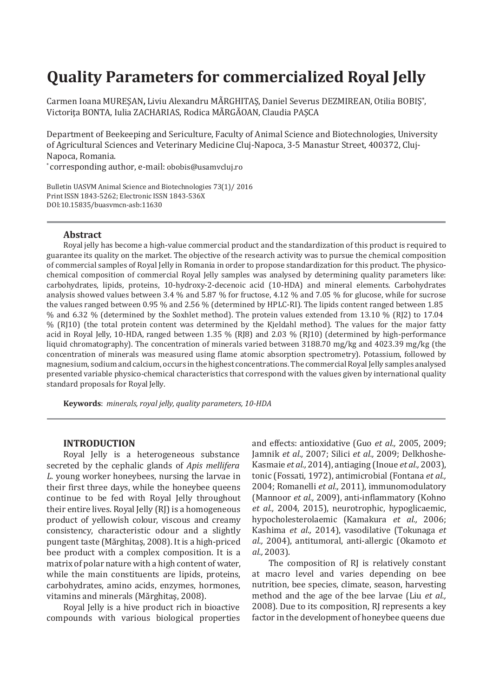# **Quality Parameters for commercialized Royal Jelly**

Carmen Ioana MUREŞAN**,** Liviu Alexandru MÃRGHITAŞ, Daniel Severus DEZMIREAN, Otilia BOBIŞ**\*** , Victoriţa BONTA, Iulia ZACHARIAS, Rodica MÃRGÃOAN, Claudia PAŞCA

Department of Beekeeping and Sericulture, Faculty of Animal Science and Biotechnologies, University of Agricultural Sciences and Veterinary Medicine Cluj-Napoca, 3-5 Manastur Street, 400372, Cluj-Napoca, Romania.

\* corresponding author, e-mail: [obobis@usamvcluj.ro](mailto:obobis@usamvcluj.ro)

Bulletin UASVM Animal Science and Biotechnologies 73(1)/ 2016 Print ISSN 1843-5262; Electronic ISSN 1843-536X DOI:10.15835/buasvmcn-asb:11630

## **Abstract**

Royal jelly has become a high-value commercial product and the standardization of this product is required to guarantee its quality on the market. The objective of the research activity was to pursue the chemical composition of commercial samples of Royal Jelly in Romania in order to propose standardization for this product. The physicochemical composition of commercial Royal Jelly samples was analysed by determining quality parameters like: carbohydrates, lipids, proteins, 10-hydroxy-2-decenoic acid (10-HDA) and mineral elements. Carbohydrates analysis showed values between 3.4 % and 5.87 % for fructose, 4.12 % and 7.05 % for glucose, while for sucrose the values ranged between 0.95 % and 2.56 % (determined by HPLC-RI). The lipids content ranged between 1.85 % and 6.32 % (determined by the Soxhlet method). The protein values extended from 13.10 % (RJ2) to 17.04 % (RJ10) (the total protein content was determined by the Kjeldahl method). The values for the major fatty acid in Royal Jelly, 10-HDA, ranged between 1.35 % (RJ8) and 2.03 % (RJ10) (determined by high-performance liquid chromatography). The concentration of minerals varied between 3188.70 mg/kg and 4023.39 mg/kg (the concentration of minerals was measured using flame atomic absorption spectrometry). Potassium, followed by magnesium, sodium and calcium, occurs in the highest concentrations. The commercial Royal Jelly samples analysed presented variable physico-chemical characteristics that correspond with the values given by international quality standard proposals for Royal Jelly.

**Keywords**: *minerals, royal jelly, quality parameters, 10-HDA*

#### **INTRODUCTION**

Royal Jelly is a heterogeneous substance secreted by the cephalic glands of *Apis mellifera L.* young worker honeybees, nursing the larvae in their first three days, while the honeybee queens continue to be fed with Royal Jelly throughout their entire lives. Royal Jelly (RJ) is a homogeneous product of yellowish colour, viscous and creamy consistency, characteristic odour and a slightly pungent taste (Mărghitaş, 2008). It is a high-priced bee product with a complex composition. It is a matrix of polar nature with a high content of water, while the main constituents are lipids, proteins, carbohydrates, amino acids, enzymes, hormones, vitamins and minerals (Mărghitaş, 2008).

Royal Jelly is a hive product rich in bioactive compounds with various biological properties and effects: antioxidative (Guo *et al.,* 2005, 2009; Jamnik *et al.,* 2007; Silici *et al.,* 2009; Delkhoshe-Kasmaie *et al.,* 2014), antiaging (Inoue *et al.,* 2003), tonic (Fossati, 1972), antimicrobial (Fontana *et al.,* 2004; Romanelli *et al.,* 2011), immunomodulatory (Mannoor *et al.,* 2009), anti-inflammatory (Kohno *et al.,* 2004, 2015), neurotrophic, hypoglicaemic, hypocholesterolaemic (Kamakura *et al.,* 2006; Kashima *et al.,* 2014), vasodilative (Tokunaga *et al.,* 2004), antitumoral, anti-allergic (Okamoto *et al.,* 2003).

The composition of RJ is relatively constant at macro level and varies depending on bee nutrition, bee species, climate, season, harvesting method and the age of the bee larvae (Liu *et al.,* 2008). Due to its composition, RJ represents a key factor in the development of honeybee queens due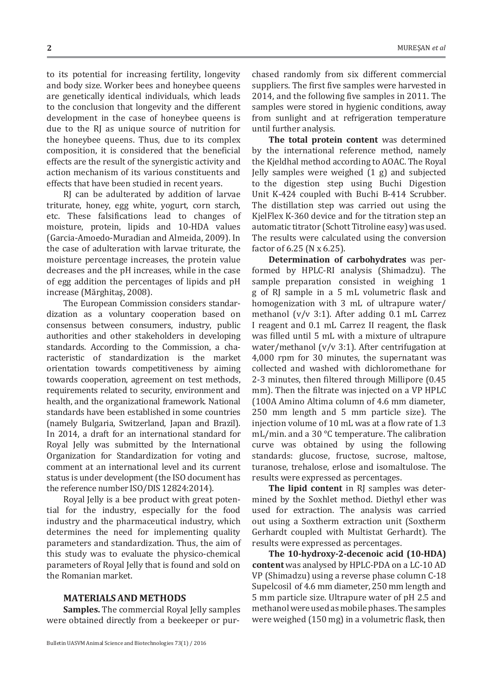to its potential for increasing fertility, longevity and body size. Worker bees and honeybee queens are genetically identical individuals, which leads to the conclusion that longevity and the different development in the case of honeybee queens is due to the RJ as unique source of nutrition for the honeybee queens. Thus, due to its complex composition, it is considered that the beneficial effects are the result of the synergistic activity and action mechanism of its various constituents and effects that have been studied in recent years.

RJ can be adulterated by addition of larvae triturate, honey, egg white, yogurt, corn starch, etc. These falsifications lead to changes of moisture, protein, lipids and 10-HDA values (Garcia-Amoedo-Muradian and Almeida, 2009). In the case of adulteration with larvae triturate, the moisture percentage increases, the protein value decreases and the pH increases, while in the case of egg addition the percentages of lipids and pH increase (Mărghitaş, 2008).

The European Commission considers standardization as a voluntary cooperation based on consensus between consumers, industry, public authorities and other stakeholders in developing standards. According to the Commission, a characteristic of standardization is the market orientation towards competitiveness by aiming towards cooperation, agreement on test methods, requirements related to security, environment and health, and the organizational framework. National standards have been established in some countries (namely Bulgaria, Switzerland, Japan and Brazil). In 2014, a draft for an international standard for Royal Jelly was submitted by the International Organization for Standardization for voting and comment at an international level and its current status is under development (the ISO document has the reference number ISO/DIS 12824:2014).

Royal Jelly is a bee product with great potential for the industry, especially for the food industry and the pharmaceutical industry, which determines the need for implementing quality parameters and standardization. Thus, the aim of this study was to evaluate the physico-chemical parameters of Royal Jelly that is found and sold on the Romanian market.

# **MATERIALS AND METHODS**

**Samples.** The commercial Royal Jelly samples were obtained directly from a beekeeper or purchased randomly from six different commercial suppliers. The first five samples were harvested in 2014, and the following five samples in 2011. The samples were stored in hygienic conditions, away from sunlight and at refrigeration temperature until further analysis.

**The total protein content** was determined by the international reference method, namely the Kjeldhal method according to AOAC. The Royal Jelly samples were weighed (1 g) and subjected to the digestion step using Buchi Digestion Unit K-424 coupled with Buchi B-414 Scrubber. The distillation step was carried out using the KjelFlex K-360 device and for the titration step an automatic titrator (Schott Titroline easy) was used. The results were calculated using the conversion factor of 6.25 (N x 6.25).

**Determination of carbohydrates** was performed by HPLC-RI analysis (Shimadzu). The sample preparation consisted in weighing 1 g of RJ sample in a 5 mL volumetric flask and homogenization with 3 mL of ultrapure water/ methanol (v/v 3:1). After adding 0.1 mL Carrez I reagent and 0.1 mL Carrez II reagent, the flask was filled until 5 mL with a mixture of ultrapure water/methanol ( $v/v$  3:1). After centrifugation at 4,000 rpm for 30 minutes, the supernatant was collected and washed with dichloromethane for 2-3 minutes, then filtered through Millipore (0.45 mm). Then the filtrate was injected on a VP HPLC (100A Amino Altima column of 4.6 mm diameter, 250 mm length and 5 mm particle size). The injection volume of 10 mL was at a flow rate of 1.3 mL/min. and a 30 °C temperature. The calibration curve was obtained by using the following standards: glucose, fructose, sucrose, maltose, turanose, trehalose, erlose and isomaltulose. The results were expressed as percentages.

**The lipid content** in RJ samples was determined by the Soxhlet method. Diethyl ether was used for extraction. The analysis was carried out using a Soxtherm extraction unit (Soxtherm Gerhardt coupled with Multistat Gerhardt). The results were expressed as percentages.

**The 10-hydroxy-2-decenoic acid (10-HDA) content** was analysed by HPLC-PDA on a LC-10 AD VP (Shimadzu) using a reverse phase column C-18 Supelcosil of 4.6 mm diameter, 250 mm length and 5 mm particle size. Ultrapure water of pH 2.5 and methanol were used as mobile phases. The samples were weighed (150 mg) in a volumetric flask, then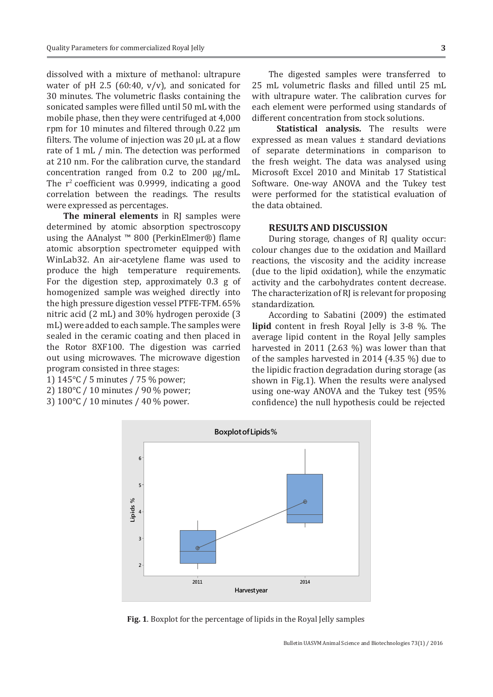dissolved with a mixture of methanol: ultrapure water of pH 2.5 (60:40,  $v/v$ ), and sonicated for 30 minutes. The volumetric flasks containing the sonicated samples were filled until 50 mL with the mobile phase, then they were centrifuged at 4,000 rpm for 10 minutes and filtered through  $0.22 \mu m$ filters. The volume of injection was  $20 \mu L$  at a flow rate of 1 mL / min. The detection was performed at 210 nm. For the calibration curve, the standard concentration ranged from 0.2 to 200 µg/mL. The  $r^2$  coefficient was 0.9999, indicating a good correlation between the readings. The results were expressed as percentages.

**The mineral elements** in RJ samples were determined by atomic absorption spectroscopy using the AAnalyst ™ 800 (PerkinElmer®) flame atomic absorption spectrometer equipped with WinLab32. An air-acetylene flame was used to produce the high temperature requirements. For the digestion step, approximately 0.3 g of homogenized sample was weighed directly into the high pressure digestion vessel PTFE-TFM. 65% nitric acid (2 mL) and 30% hydrogen peroxide (3 mL) were added to each sample. The samples were sealed in the ceramic coating and then placed in the Rotor 8XF100. The digestion was carried out using microwaves. The microwave digestion program consisted in three stages:

1) 145°C / 5 minutes / 75 % power;

- 2) 180°C / 10 minutes / 90 % power;
- 3) 100°C / 10 minutes / 40 % power.

The digested samples were transferred to 25 mL volumetric flasks and filled until 25 mL with ultrapure water. The calibration curves for each element were performed using standards of different concentration from stock solutions.

**Statistical analysis.** The results were expressed as mean values ± standard deviations of separate determinations in comparison to the fresh weight. The data was analysed using Microsoft Excel 2010 and Minitab 17 Statistical Software. One-way ANOVA and the Tukey test were performed for the statistical evaluation of the data obtained.

#### **RESULTS AND DISCUSSION**

During storage, changes of RJ quality occur: colour changes due to the oxidation and Maillard reactions, the viscosity and the acidity increase (due to the lipid oxidation), while the enzymatic activity and the carbohydrates content decrease. The characterization of RJ is relevant for proposing standardization.

According to Sabatini (2009) the estimated **lipid** content in fresh Royal Jelly is 3-8 %. The average lipid content in the Royal Jelly samples harvested in 2011 (2.63 %) was lower than that of the samples harvested in 2014 (4.35 %) due to the lipidic fraction degradation during storage (as shown in Fig.1). When the results were analysed using one-way ANOVA and the Tukey test (95% confidence) the null hypothesis could be rejected



**Fig. 1**. Boxplot for the percentage of lipids in the Royal Jelly samples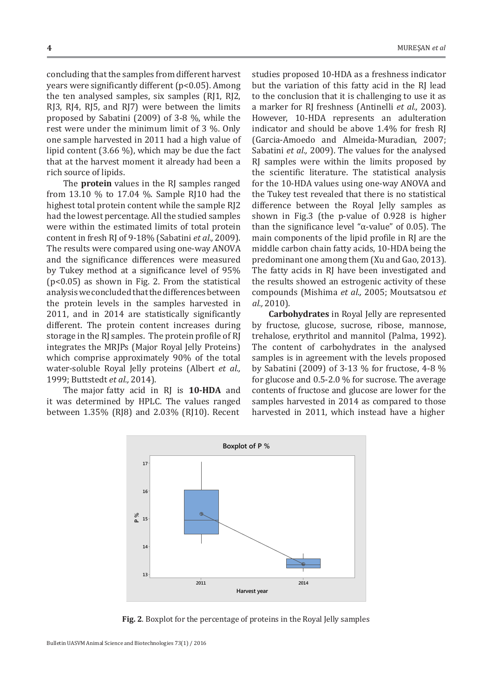concluding that the samples from different harvest years were significantly different (p<0.05). Among the ten analysed samples, six samples (RJ1, RJ2, RJ3, RJ4, RJ5, and RJ7) were between the limits proposed by Sabatini (2009) of 3-8 %, while the rest were under the minimum limit of 3 %. Only one sample harvested in 2011 had a high value of lipid content (3.66 %), which may be due the fact that at the harvest moment it already had been a rich source of lipids.

The **protein** values in the RJ samples ranged from 13.10 % to 17.04 %. Sample RJ10 had the highest total protein content while the sample RJ2 had the lowest percentage. All the studied samples were within the estimated limits of total protein content in fresh RJ of 9-18% (Sabatini *et al.,* 2009). The results were compared using one-way ANOVA and the significance differences were measured by Tukey method at a significance level of 95% (p<0.05) as shown in Fig. 2. From the statistical analysis weconcluded thatthe differences between the protein levels in the samples harvested in 2011, and in 2014 are statistically significantly different. The protein content increases during storage in the RJ samples. The protein profile of RJ integrates the MRJPs (Major Royal Jelly Proteins) which comprise approximately 90% of the total water-soluble Royal Jelly proteins (Albert *et al.,* 1999; Buttstedt *et al.,* 2014).

The major fatty acid in RJ is **10-HDA** and it was determined by HPLC. The values ranged between 1.35% (RJ8) and 2.03% (RJ10). Recent

studies proposed 10-HDA as a freshness indicator but the variation of this fatty acid in the RJ lead to the conclusion that it is challenging to use it as a marker for RJ freshness (Antinelli *et al.,* 2003). However, 10-HDA represents an adulteration indicator and should be above 1.4% for fresh RJ (Garcia-Amoedo and Almeida-Muradian, 2007; Sabatini *et al.,* 2009). The values for the analysed RJ samples were within the limits proposed by the scientific literature. The statistical analysis for the 10-HDA values using one-way ANOVA and the Tukey test revealed that there is no statistical difference between the Royal Jelly samples as shown in Fig.3 (the p-value of 0.928 is higher than the significance level " $\alpha$ -value" of 0.05). The main components of the lipid profile in RJ are the middle carbon chain fatty acids, 10-HDA being the predominant one among them (Xu and Gao, 2013). The fatty acids in RJ have been investigated and the results showed an estrogenic activity of these compounds (Mishima *et al.,* 2005; Moutsatsou *et al.,* 2010).

**Carbohydrates** in Royal Jelly are represented by fructose, glucose, sucrose, ribose, mannose, trehalose, erythritol and mannitol (Palma, 1992). The content of carbohydrates in the analysed samples is in agreement with the levels proposed by Sabatini (2009) of 3-13 % for fructose, 4-8 % for glucose and 0.5-2.0 % for sucrose. The average contents of fructose and glucose are lower for the samples harvested in 2014 as compared to those harvested in 2011, which instead have a higher



**Fig. 2**. Boxplot for the percentage of proteins in the Royal Jelly samples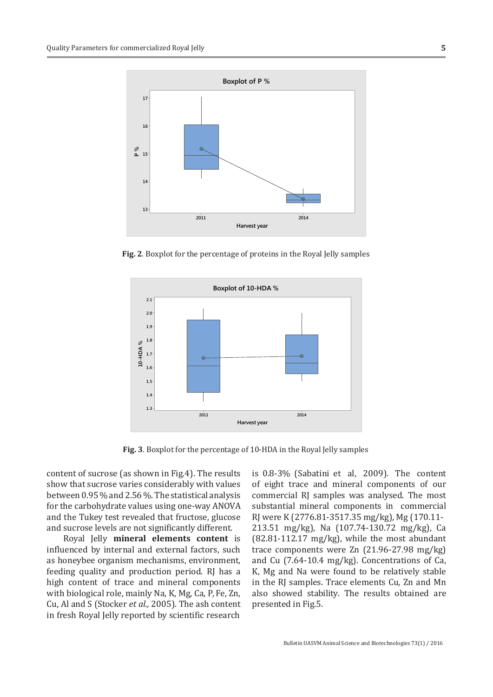

**Fig. 2**. Boxplot for the percentage of proteins in the Royal Jelly samples



**Fig. 3**. Boxplot for the percentage of 10-HDA in the Royal Jelly samples

content of sucrose (as shown in Fig.4). The results show that sucrose varies considerably with values between 0.95 % and 2.56 %. The statistical analysis for the carbohydrate values using one-way ANOVA and the Tukey test revealed that fructose, glucose and sucrose levels are not significantly different.

Royal Jelly **mineral elements content** is influenced by internal and external factors, such as honeybee organism mechanisms, environment, feeding quality and production period. RJ has a high content of trace and mineral components with biological role, mainly Na, K, Mg, Ca, P, Fe, Zn, Cu, Al and S (Stocker *et al.,* 2005). The ash content in fresh Royal Jelly reported by scientific research

is 0.8-3% (Sabatini et al, 2009). The content of eight trace and mineral components of our commercial RJ samples was analysed. The most substantial mineral components in commercial RJ were K (2776.81-3517.35 mg/kg), Mg (170.11- 213.51 mg/kg), Na (107.74-130.72 mg/kg), Ca  $(82.81-112.17 \text{ mg/kg})$ , while the most abundant trace components were Zn (21.96-27.98 mg/kg) and Cu (7.64-10.4 mg/kg). Concentrations of Ca, K, Mg and Na were found to be relatively stable in the RJ samples. Trace elements Cu, Zn and Mn also showed stability. The results obtained are presented in Fig.5.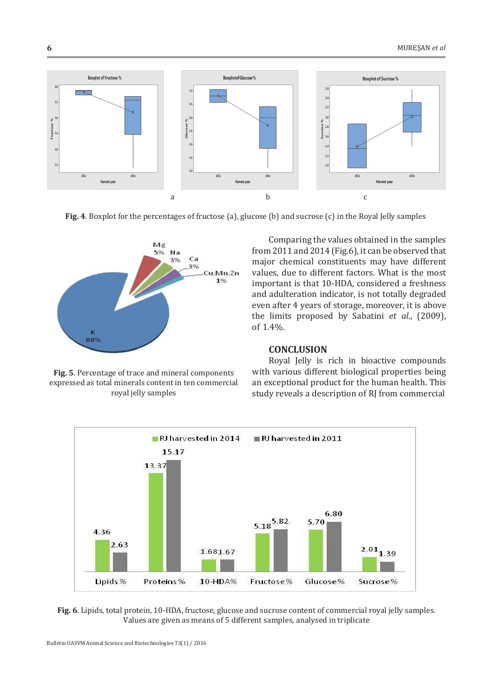

**Fig. 4**. Boxplot for the percentages of fructose (a), glucose (b) and sucrose (c) in the Royal Jelly samples



**Fig. 5**. Percentage of trace and mineral components expressed as total minerals content in ten commercial royal jelly samples

Comparing the values obtained in the samples from 2011 and 2014 (Fig.6), it can be observed that major chemical constituents may have different values, due to different factors. What is the most important is that 10-HDA, considered a freshness and adulteration indicator, is not totally degraded even after 4 years of storage, moreover, it is above the limits proposed by Sabatini *et al*., (2009), of 1.4%.

# **CONCLUSION**

Royal Jelly is rich in bioactive compounds with various different biological properties being an exceptional product for the human health. This study reveals a description of RJ from commercial



**Fig. 6**. Lipids, total protein, 10-HDA, fructose, glucose and sucrose content of commercial royal jelly samples. Values are given as means of 5 different samples, analysed in triplicate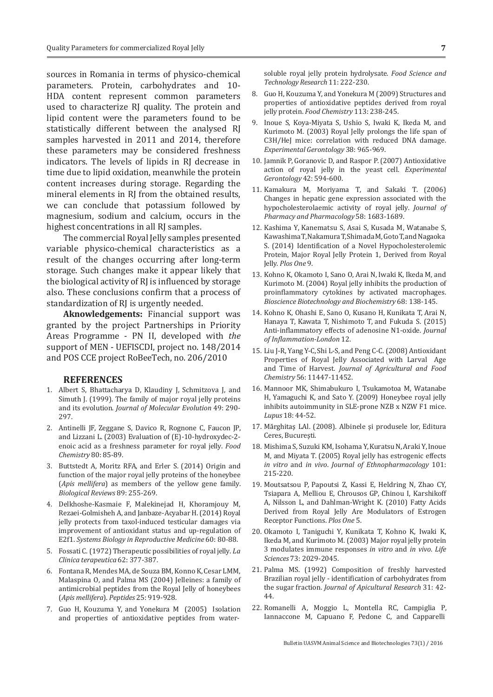sources in Romania in terms of physico-chemical parameters. Protein, carbohydrates and 10- HDA content represent common parameters used to characterize RJ quality. The protein and lipid content were the parameters found to be statistically different between the analysed RJ samples harvested in 2011 and 2014, therefore these parameters may be considered freshness indicators. The levels of lipids in RJ decrease in time due to lipid oxidation, meanwhile the protein content increases during storage. Regarding the mineral elements in RJ from the obtained results, we can conclude that potassium followed by magnesium, sodium and calcium, occurs in the highest concentrations in all RJ samples.

The commercial Royal Jelly samples presented variable physico-chemical characteristics as a result of the changes occurring after long-term storage. Such changes make it appear likely that the biological activity of RJ is influenced by storage also. These conclusions confirm that a process of standardization of RJ is urgently needed.

**Aknowledgements:** Financial support was granted by the project Partnerships in Priority Areas Programme - PN II, developed with *the* support of MEN - UEFISCDI, project no. 148/2014 and POS CCE project RoBeeTech, no. 206/2010

## **REFERENCES**

- 1. Albert S, Bhattacharya D, Klaudiny J, Schmitzova J, and Simuth J. (1999). The family of major royal jelly proteins and its evolution. *Journal of Molecular Evolution* 49: 290- 297.
- 2. Antinelli JF, Zeggane S, Davico R, Rognone C, Faucon JP, and Lizzani L. (2003) Evaluation of (E)-10-hydroxydec-2 enoic acid as a freshness parameter for royal jelly. *Food Chemistry* 80: 85-89.
- 3. Buttstedt A, Moritz RFA, and Erler S. (2014) Origin and function of the major royal jelly proteins of the honeybee (*Apis mellifera*) as members of the yellow gene family. *Biological Reviews* 89: 255-269.
- 4. Delkhoshe-Kasmaie F, Malekinejad H, Khoramjouy M, Rezaei-Golmisheh A, and Janbaze-Acyabar H. (2014) Royal jelly protects from taxol-induced testicular damages via improvement of antioxidant status and up-regulation of E2f1. *Systems Biology in Reproductive Medicine* 60: 80-88.
- 5. Fossati C. (1972) Therapeutic possibilities of royal jelly. *La Clinica terapeutica* 62: 377-387.
- 6. Fontana R, Mendes MA, de Souza BM, Konno K, Cesar LMM, Malaspina O, and Palma MS (2004) Jelleines: a family of antimicrobial peptides from the Royal Jelly of honeybees (*Apis mellifera*). *Peptides* 25: 919-928.
- 7. Guo H, Kouzuma Y, and Yonekura M (2005) Isolation and properties of antioxidative peptides from water-

soluble royal jelly protein hydrolysate. *Food Science and Technology Research* 11: 222-230.

- 8. Guo H, Kouzuma Y, and Yonekura M (2009) Structures and properties of antioxidative peptides derived from royal jelly protein. *Food Chemistry* 113: 238-245.
- 9. Inoue S, Koya-Miyata S, Ushio S, Iwaki K, Ikeda M, and Kurimoto M. (2003) Royal Jelly prolongs the life span of C3H/HeJ mice: correlation with reduced DNA damage. *Experimental Gerontology* 38: 965-969.
- 10. Jamnik P, Goranovic D, and Raspor P. (2007) Antioxidative action of royal jelly in the yeast cell. *Experimental Gerontology* 42: 594-600.
- 11. Kamakura M, Moriyama T, and Sakaki T. (2006) Changes in hepatic gene expression associated with the hypocholesterolaemic activity of royal jelly. *Journal of Pharmacy and Pharmacology* 58: 1683-1689.
- 12. Kashima Y, Kanematsu S, Asai S, Kusada M, Watanabe S, Kawashima T, Nakamura T, Shimada M, Goto T, and Nagaoka S. (2014) Identification of a Novel Hypocholesterolemic Protein, Major Royal Jelly Protein 1, Derived from Royal Jelly. *Plos One* 9.
- 13. Kohno K, Okamoto I, Sano O, Arai N, Iwaki K, Ikeda M, and Kurimoto M. (2004) Royal jelly inhibits the production of proinflammatory cytokines by activated macrophages. *Bioscience Biotechnology and Biochemistry* 68: 138-145.
- 14. Kohno K, Ohashi E, Sano O, Kusano H, Kunikata T, Arai N, Hanaya T, Kawata T, Nishimoto T, and Fukuda S. (2015) Anti-inflammatory effects of adenosine N1-oxide. *Journal of Inflammation-London* 12.
- 15. Liu J-R, Yang Y-C, Shi L-S, and Peng C-C. (2008) Antioxidant Properties of Royal Jelly Associated with Larval Age and Time of Harvest. *Journal of Agricultural and Food Chemistry* 56: 11447-11452.
- 16. Mannoor MK, Shimabukuro I, Tsukamotoa M, Watanabe H, Yamaguchi K, and Sato Y. (2009) Honeybee royal jelly inhibits autoimmunity in SLE-prone NZB x NZW F1 mice. *Lupus* 18: 44-52.
- 17. Mărghitaş LAl. (2008). Albinele şi produsele lor, Editura Ceres, Bucureşti.
- 18. Mishima S, Suzuki KM, Isohama Y, Kuratsu N, Araki Y, Inoue M, and Miyata T. (2005) Royal jelly has estrogenic effects *in vitro* and *in vivo*. *Journal of Ethnopharmacology* 101: 215-220.
- 19. Moutsatsou P, Papoutsi Z, Kassi E, Heldring N, Zhao CY, Tsiapara A, Melliou E, Chrousos GP, Chinou I, Karshikoff A, Nilsson L, and Dahlman-Wright K. (2010) Fatty Acids Derived from Royal Jelly Are Modulators of Estrogen Receptor Functions. *Plos One* 5.
- 20. Okamoto I, Taniguchi Y, Kunikata T, Kohno K, Iwaki K, Ikeda M, and Kurimoto M. (2003) Major royal jelly protein 3 modulates immune responses *in vitro* and *in vivo*. *Life Sciences* 73: 2029-2045.
- 21. Palma MS. (1992) Composition of freshly harvested Brazilian royal jelly - identification of carbohydrates from the sugar fraction. *Journal of Apicultural Research* 31: 42- 44.
- 22. Romanelli A, Moggio L, Montella RC, Campiglia P, Iannaccone M, Capuano F, Pedone C, and Capparelli